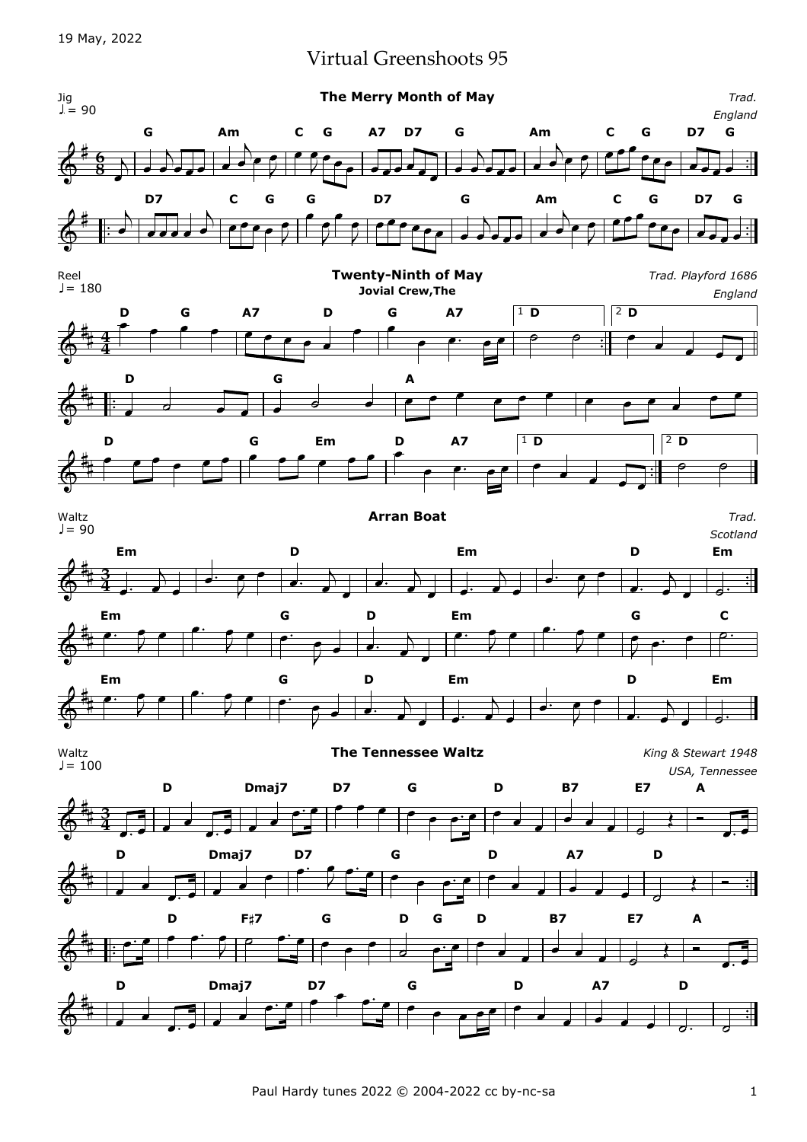## Virtual Greenshoots 95

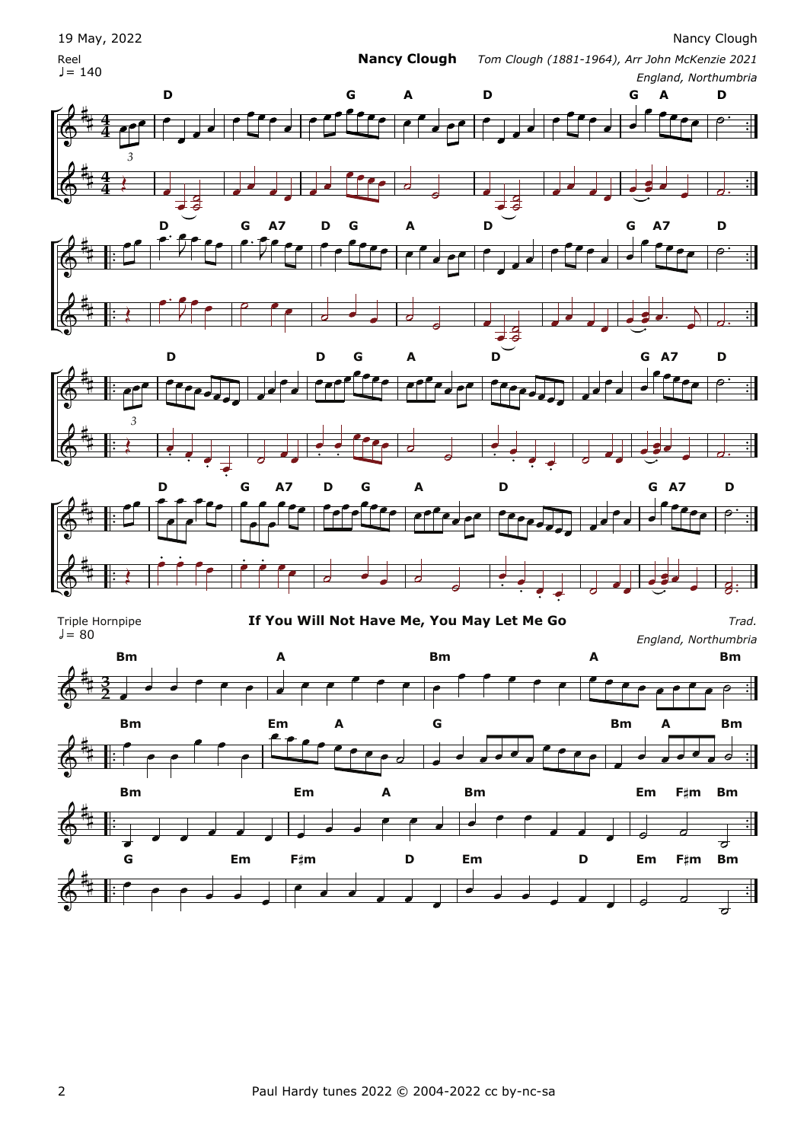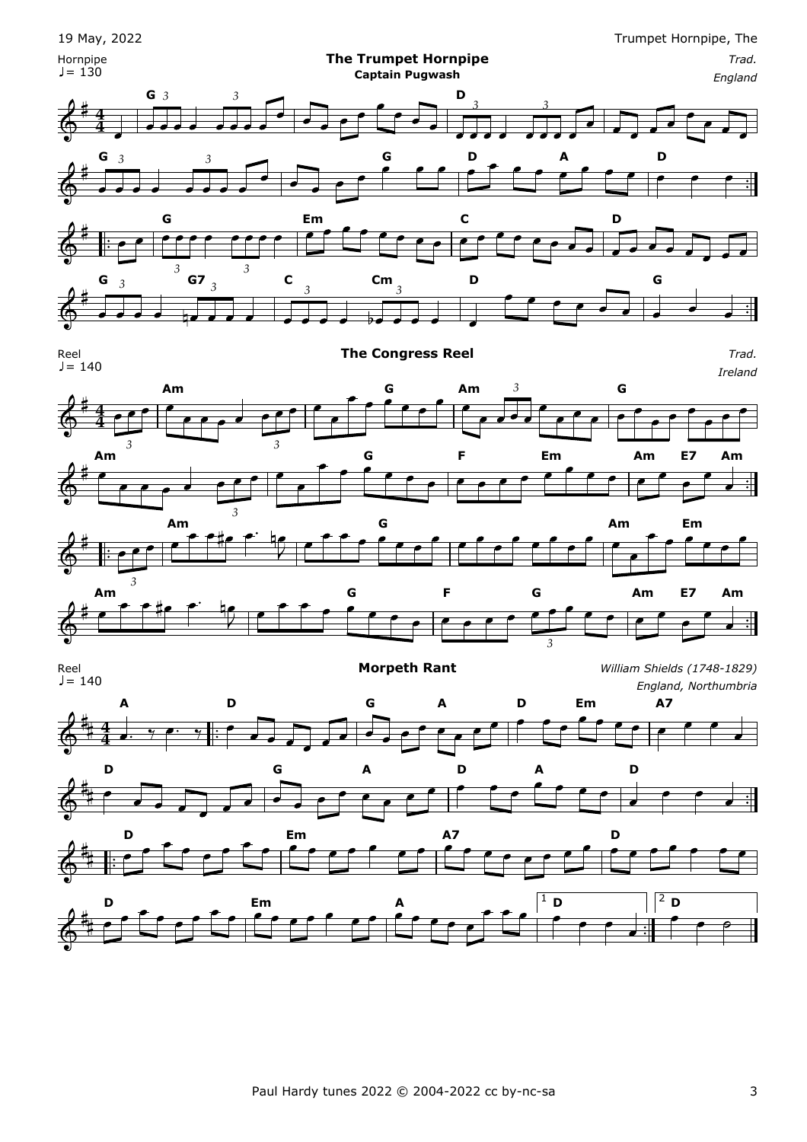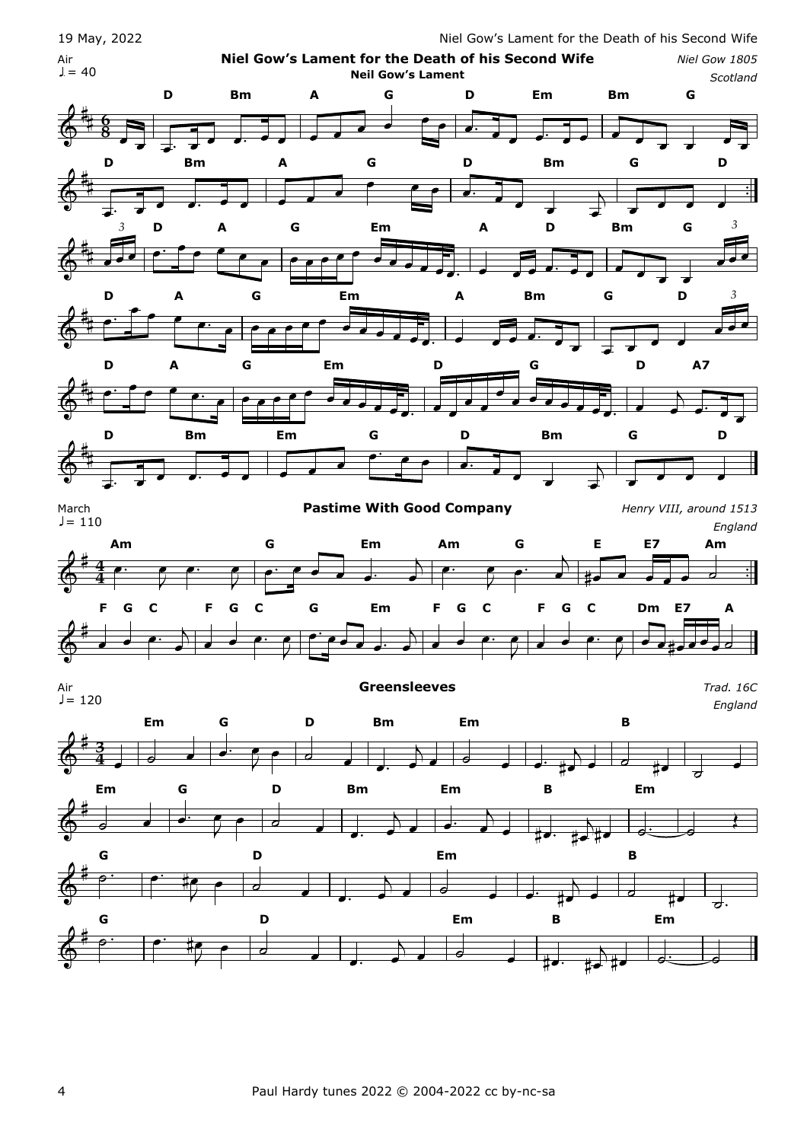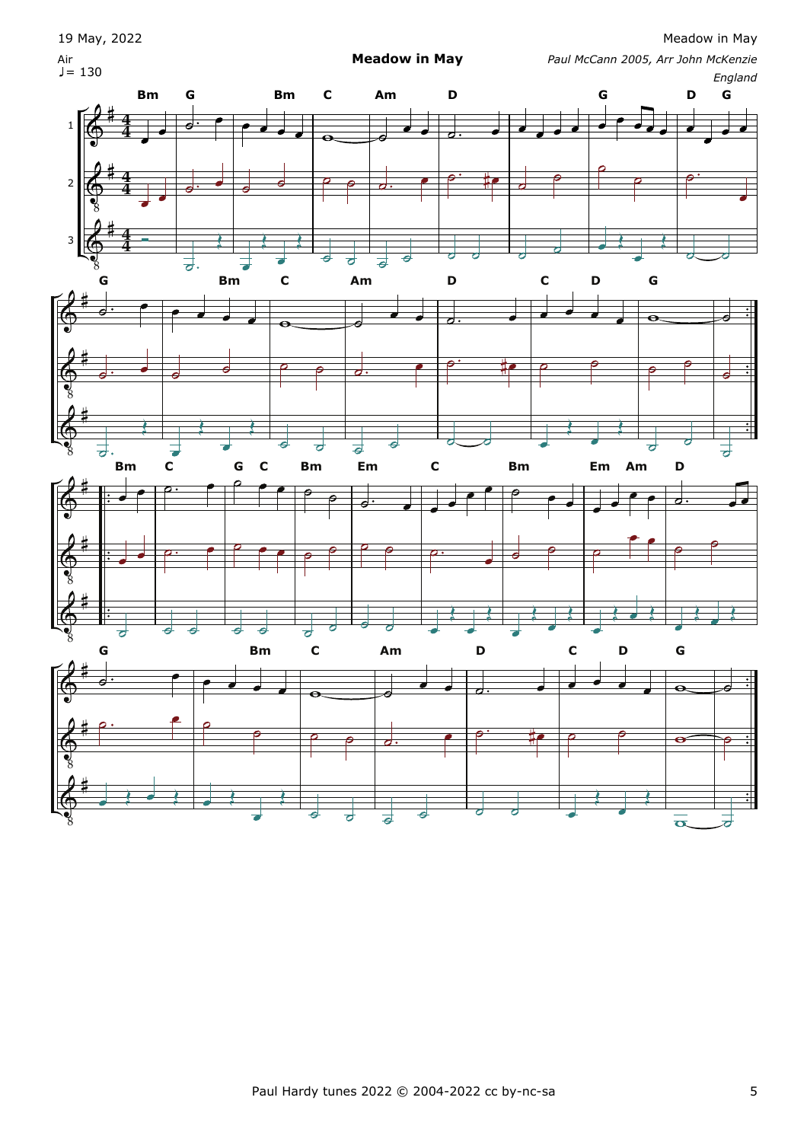